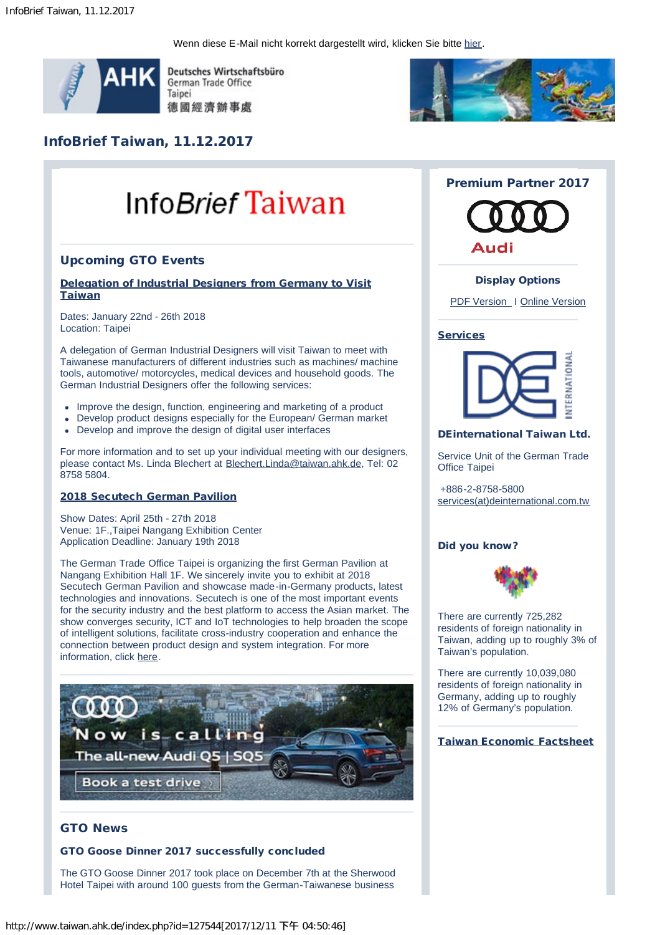Wenn diese E-Mail nicht korrekt dargestellt wird, klicken Sie bitte [hier.](http://www.taiwan.ahk.de/newsletter-selection-flexible-newsletter/newsletter-system/ahk-taiwan-newsletter-de/infobrief-taiwan-11122017/)



Deutsches Wirtschaftsbüro German Trade Office Taipei 德國經濟辦事處



# InfoBrief Taiwan, 11.12.2017

# Info*Brief* Taiwan

# Upcoming GTO Events

# [Delegation of Industrial Designers from Germany to Visit](http://www.taiwan.ahk.de/news/details/artikel/delegation-of-industrial-designers-from-germany-to-visit-taiwan/?cHash=b0cf9ed38c5e8d4ade9bd65070afb3a5) **[Taiwan](http://www.taiwan.ahk.de/news/details/artikel/delegation-of-industrial-designers-from-germany-to-visit-taiwan/?cHash=b0cf9ed38c5e8d4ade9bd65070afb3a5)**

Dates: January 22nd - 26th 2018 Location: Taipei

A delegation of German Industrial Designers will visit Taiwan to meet with Taiwanese manufacturers of different industries such as machines/ machine tools, automotive/ motorcycles, medical devices and household goods. The German Industrial Designers offer the following services:

- Improve the design, function, engineering and marketing of a product
- Develop product designs especially for the European/ German market
- Develop and improve the design of digital user interfaces

For more information and to set up your individual meeting with our designers, please contact Ms. Linda Blechert at [Blechert.Linda@taiwan.ahk.de,](mailto:Blechert.Linda@taiwan.ahk.de) Tel: 02 8758 5804.

# [2018 Secutech German Pavilion](http://www.taiwan.ahk.de/trade-fairs/trade-fairs-taiwan-german-pavilions/secutech-2018/)

Show Dates: April 25th - 27th 2018 Venue: 1F.,Taipei Nangang Exhibition Center Application Deadline: January 19th 2018

The German Trade Office Taipei is organizing the first German Pavilion at Nangang Exhibition Hall 1F. We sincerely invite you to exhibit at 2018 Secutech German Pavilion and showcase made-in-Germany products, latest technologies and innovations. Secutech is one of the most important events for the security industry and the best platform to access the Asian market. The show converges security, ICT and IoT technologies to help broaden the scope of intelligent solutions, facilitate cross-industry cooperation and enhance the connection between product design and system integration. For more information, click [here.](http://www.taiwan.ahk.de/trade-fairs/trade-fairs-taiwan-german-pavilions/secutech-2018/)



# GTO News

#### GTO Goose Dinner 2017 successfully concluded

The GTO Goose Dinner 2017 took place on December 7th at the Sherwood Hotel Taipei with around 100 guests from the German-Taiwanese business

# Premium Partner 2017



# Display Options

[PDF Version](http://www.taiwan.ahk.de/fileadmin/ahk_taiwan/Dokumente/InfoBrief/InfoBrief_Taiwan_20171204.pdf) | [Online Version](http://www.taiwan.ahk.de/index.php?id=127387)

# **[Services](http://www.taiwan.ahk.de/services/)**



# DEinternational Taiwan Ltd.

Service Unit of the German Trade Office Taipei

+886-2-8758-5800 [services\(at\)deinternational.com.tw](mailto:services@deinternational.com.tw)

# Did you know?



There are currently 725,282 residents of foreign nationality in Taiwan, adding up to roughly 3% of Taiwan's population.

There are currently 10,039,080 residents of foreign nationality in Germany, adding up to roughly 12% of Germany's population.

#### [Taiwan Economic Factsheet](http://www.taiwan.ahk.de/fileadmin/ahk_taiwan/Dokumente/InfoBrief/Datenblatt/20171211_Datenblatt.pdf)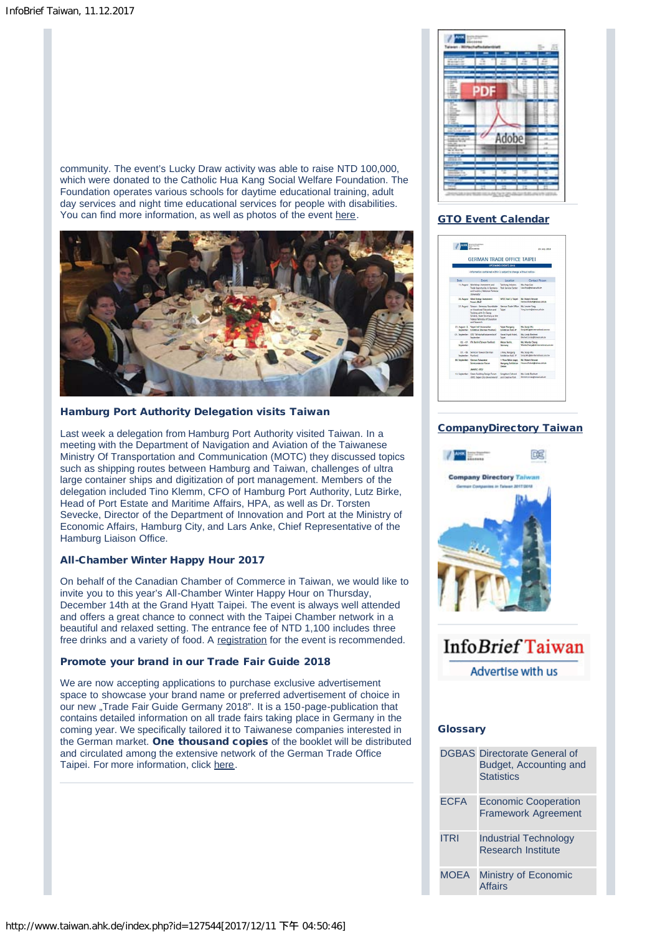community. The event's Lucky Draw activity was able to raise NTD 100,000, which were donated to the Catholic Hua Kang Social Welfare Foundation. The Foundation operates various schools for daytime educational training, adult day services and night time educational services for people with disabilities. You can find more information, as well as photos of the event [here.](http://www.taiwan.ahk.de/news/details/artikel/ntd-100000-raised-for-charity-at-gto-goose-dinner-2017/?cHash=7c0431c86e87dcd9d2d9834948f92ae1)



# Hamburg Port Authority Delegation visits Taiwan

Last week a delegation from Hamburg Port Authority visited Taiwan. In a meeting with the Department of Navigation and Aviation of the Taiwanese Ministry Of Transportation and Communication (MOTC) they discussed topics such as shipping routes between Hamburg and Taiwan, challenges of ultra large container ships and digitization of port management. Members of the delegation included Tino Klemm, CFO of Hamburg Port Authority, Lutz Birke, Head of Port Estate and Maritime Affairs, HPA, as well as Dr. Torsten Sevecke, Director of the Department of Innovation and Port at the Ministry of Economic Affairs, Hamburg City, and Lars Anke, Chief Representative of the Hamburg Liaison Office.

# All-Chamber Winter Happy Hour 2017

On behalf of the Canadian Chamber of Commerce in Taiwan, we would like to invite you to this year's All-Chamber Winter Happy Hour on Thursday, December 14th at the Grand Hyatt Taipei. The event is always well attended and offers a great chance to connect with the Taipei Chamber network in a beautiful and relaxed setting. The entrance fee of NTD 1,100 includes three free drinks and a variety of food. A [registration](https://goo.gl/forms/o7XdWW0jPG8q4v0t2) for the event is recommended.

# Promote your brand in our Trade Fair Guide 2018

We are now accepting applications to purchase exclusive advertisement space to showcase your brand name or preferred advertisement of choice in our new "Trade Fair Guide Germany 2018". It is a 150-page-publication that contains detailed information on all trade fairs taking place in Germany in the coming year. We specifically tailored it to Taiwanese companies interested in the German market. One thousand copies of the booklet will be distributed and circulated among the extensive network of the German Trade Office Taipei. For more information, click [here.](http://www.taiwan.ahk.de/news/details/artikel/promote-your-brand-in-our-publication-and-reach-your-taiwan-audience/?cHash=5b07ad6062528c936436c89d00aad5fa)



# [GTO Event Calendar](http://www.taiwan.ahk.de/fileadmin/ahk_taiwan/Dokumente/InfoBrief/Event_Calendar/upcoming_events_2017_12_11.pdf)

|                     | *******<br><b>GERMAN TRADE OFFICE TAIPEI</b>                                                                                                                                         |                                                      | 29. July, 2016                                            |
|---------------------|--------------------------------------------------------------------------------------------------------------------------------------------------------------------------------------|------------------------------------------------------|-----------------------------------------------------------|
|                     |                                                                                                                                                                                      | <b>UPCOMING EVENTS 2016</b>                          |                                                           |
|                     | -information contained within is subject to change without notice-                                                                                                                   |                                                      |                                                           |
| Date                | Event                                                                                                                                                                                | Location                                             | Contact Person                                            |
|                     | 11. August Workshop; Investment and<br>Trade Opportunity in Germany<br>and Bankin (Bistinese Formers)<br><b>Chiarratal</b>                                                           | Taichung Industry<br>Park Service Center             | Ms. Ania Liao<br>Uso, Anim@taiwan.ahk.de                  |
|                     | 25. August Wind Energy Investment<br>Forum (BoD)                                                                                                                                     | WITCHES 1 Taken                                      | Mr. Reihert Hermann<br>Hetmer Robert @talwar.akit.de      |
|                     | 27. August Taiwan - Germany Roundtable<br>on Vocational Education and<br>Training with Dr. Georg<br>Schütte, State Secretary at the<br>Federal Ministry of Education<br>and Research | German Trade Office<br>Talent                        | Ms Leonie Yang<br>Yang Leonie@talwan.ublude               |
|                     | 31. August - 3. Taipei Int'l Automation<br>September Exhibition (German Pavilion)                                                                                                    | <b>Taipei Nangang</b><br>Fehibition Hall 4F          | Ms. Sonia Wu<br>Sonia.Mustakinterrazional.com.tw          |
|                     | 01. September GTO "Wirtschaftsitzermtlich"<br>September                                                                                                                              | <b>Grand Hyart Hotel</b><br>Talpel                   | Mr. Linda Blackart<br>Retert Industriance shiple          |
| September           | 02. - 07. IFA Bedia (Talwan Pavilion)                                                                                                                                                | Messe Berlin<br>Germany                              | Mr. Wanda Chang<br>Wanda Chang @ delinternational.com, tw |
| September Pavilion) | 02. Oh. Semiron Taiwan Merman.                                                                                                                                                       | J Area, Nangang<br>Fabibition Hall, 1F               | Ms. Sonia Wa<br>Sonia, Mu @ deletterrational.com.tw       |
|                     | 08. September German Taiwanese<br>Semiconductor Forum<br><b>AMSC (STO)</b>                                                                                                           | 1- Floor Main stage.<br>Nangang Exhibition<br>Center | Mr. Robert Herzner<br>Herbiter Robert (Brighton, Jih K.de |
|                     | 13. September Green Building Design Forum<br>6702 Takes Oty Government                                                                                                               | Songshan Cultural<br>and Covation Park               | Mc Linda Rivebert<br>Beckert Linds@taiwan.ahk.de          |

#### [CompanyDirectory Taiwan](http://www.taiwan.ahk.de/publications/companydirectory-taiwan/)



# Info*Brief* Taiwan

Advertise with us

# **Glossary**

|             | <b>DGBAS</b> Directorate General of<br>Budget, Accounting and<br><b>Statistics</b> |
|-------------|------------------------------------------------------------------------------------|
| <b>ECFA</b> | <b>Economic Cooperation</b><br><b>Framework Agreement</b>                          |
| <b>ITRI</b> | <b>Industrial Technology</b><br><b>Research Institute</b>                          |
| <b>MOEA</b> | Ministry of Economic<br><b>Affairs</b>                                             |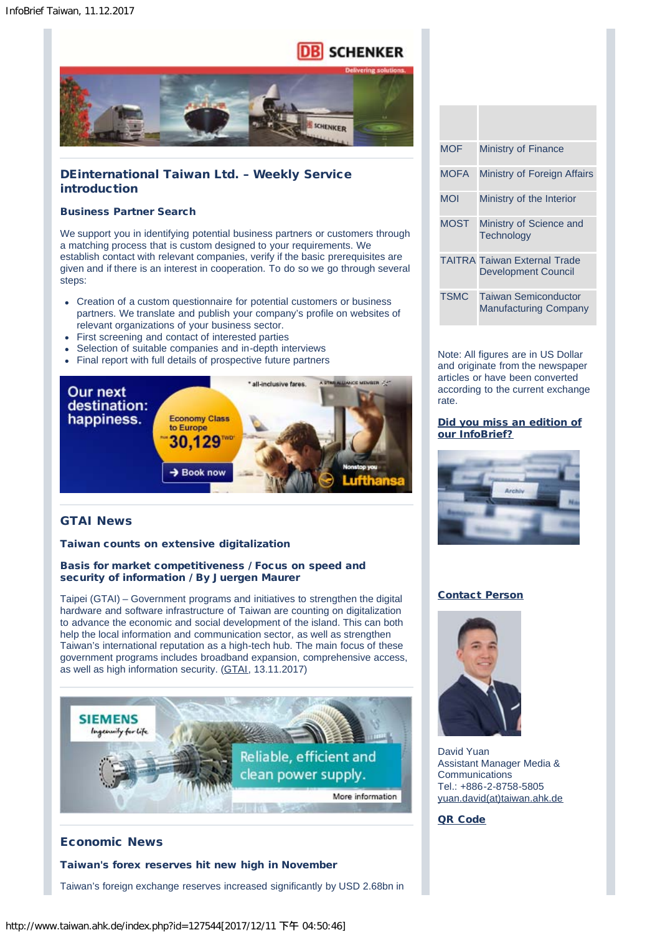# **SCHENKER**



# DEinternational Taiwan Ltd. – Weekly Service introduction

# Business Partner Search

We support you in identifying potential business partners or customers through a matching process that is custom designed to your requirements. We establish contact with relevant companies, verify if the basic prerequisites are given and if there is an interest in cooperation. To do so we go through several steps:

- Creation of a custom questionnaire for potential customers or business partners. We translate and publish your company's profile on websites of relevant organizations of your business sector.
- First screening and contact of interested parties
- Selection of suitable companies and in-depth interviews
- Final report with full details of prospective future partners



# GTAI News

# Taiwan counts on extensive digitalization

# Basis for market competitiveness / Focus on speed and security of information / By Juergen Maurer

Taipei (GTAI) – Government programs and initiatives to strengthen the digital hardware and software infrastructure of Taiwan are counting on digitalization to advance the economic and social development of the island. This can both help the local information and communication sector, as well as strengthen Taiwan's international reputation as a high-tech hub. The main focus of these government programs includes broadband expansion, comprehensive access, as well as high information security. ([GTAI,](https://www.gtai.de/GTAI/Navigation/DE/Trade/Maerkte/suche,t=taiwan-setzt-auf-umfassende-digitalisierung,did=1814810.html) 13.11.2017)



# Economic News

# Taiwan's forex reserves hit new high in November

Taiwan's foreign exchange reserves increased significantly by USD 2.68bn in

| <b>MOF</b>  | Ministry of Finance                                               |
|-------------|-------------------------------------------------------------------|
| <b>MOFA</b> | Ministry of Foreign Affairs                                       |
| <b>MOI</b>  | Ministry of the Interior                                          |
| <b>MOST</b> | Ministry of Science and<br>Technology                             |
|             | <b>TAITRA Taiwan External Trade</b><br><b>Development Council</b> |
| <b>TSMC</b> | <b>Taiwan Semiconductor</b><br><b>Manufacturing Company</b>       |

Note: All figures are in US Dollar and originate from the newspaper articles or have been converted according to the current exchange rate.

# [Did you miss an edition of](http://www.taiwan.ahk.de/?id=23713#254615) [our InfoBrief?](http://www.taiwan.ahk.de/?id=23713#254615)



# [Contact Person](mailto:yuan.david@taiwan.ahk.de)



David Yuan Assistant Manager Media & **Communications** Tel.: +886-2-8758-5805 [yuan.david\(at\)taiwan.ahk.de](mailto:yuan.david@taiwan.ahk.de)

# [QR Code](http://www.taiwan.ahk.de/newsletter-selection/newsletter-subscription-de)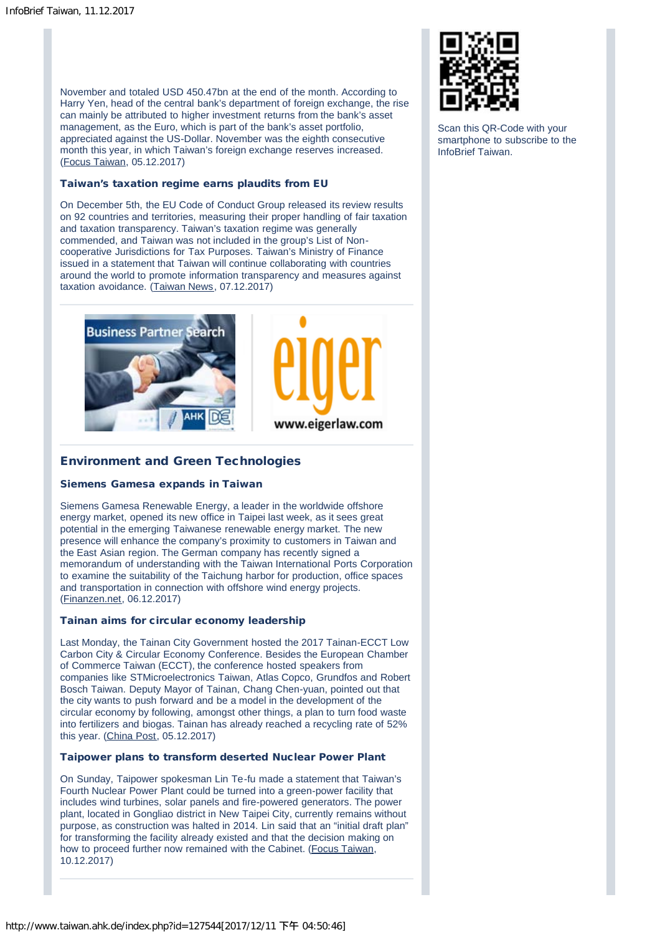November and totaled USD 450.47bn at the end of the month. According to Harry Yen, head of the central bank's department of foreign exchange, the rise can mainly be attributed to higher investment returns from the bank's asset management, as the Euro, which is part of the bank's asset portfolio, appreciated against the US-Dollar. November was the eighth consecutive month this year, in which Taiwan's foreign exchange reserves increased. [\(Focus Taiwan](http://focustaiwan.tw/news/aeco/201712050022.aspx), 05.12.2017)

#### Taiwan's taxation regime earns plaudits from EU

On December 5th, the EU Code of Conduct Group released its review results on 92 countries and territories, measuring their proper handling of fair taxation and taxation transparency. Taiwan's taxation regime was generally commended, and Taiwan was not included in the group's List of Noncooperative Jurisdictions for Tax Purposes. Taiwan's Ministry of Finance issued in a statement that Taiwan will continue collaborating with countries around the world to promote information transparency and measures against taxation avoidance. [\(Taiwan News,](https://www.taiwannews.com.tw/en/news/3315257) 07.12.2017)





# Environment and Green Technologies

#### Siemens Gamesa expands in Taiwan

Siemens Gamesa Renewable Energy, a leader in the worldwide offshore energy market, opened its new office in Taipei last week, as it sees great potential in the emerging Taiwanese renewable energy market. The new presence will enhance the company's proximity to customers in Taiwan and the East Asian region. The German company has recently signed a memorandum of understanding with the Taiwan International Ports Corporation to examine the suitability of the Taichung harbor for production, office spaces and transportation in connection with offshore wind energy projects. [\(Finanzen.net,](http://www.finanzen.net/nachricht/aktien/siemens-gamesa-prueft-mit-taiwans-tipc-windernergieprojekte-5852520) 06.12.2017)

#### Tainan aims for circular economy leadership

Last Monday, the Tainan City Government hosted the 2017 Tainan-ECCT Low Carbon City & Circular Economy Conference. Besides the European Chamber of Commerce Taiwan (ECCT), the conference hosted speakers from companies like STMicroelectronics Taiwan, Atlas Copco, Grundfos and Robert Bosch Taiwan. Deputy Mayor of Tainan, Chang Chen-yuan, pointed out that the city wants to push forward and be a model in the development of the circular economy by following, amongst other things, a plan to turn food waste into fertilizers and biogas. Tainan has already reached a recycling rate of 52% this year. [\(China Post](https://chinapost.nownews.com/20171205-166210), 05.12.2017)

#### Taipower plans to transform deserted Nuclear Power Plant

On Sunday, Taipower spokesman Lin Te-fu made a statement that Taiwan's Fourth Nuclear Power Plant could be turned into a green-power facility that includes wind turbines, solar panels and fire-powered generators. The power plant, located in Gongliao district in New Taipei City, currently remains without purpose, as construction was halted in 2014. Lin said that an "initial draft plan" for transforming the facility already existed and that the decision making on how to proceed further now remained with the Cabinet. ([Focus Taiwan](http://focustaiwan.tw/news/aeco/201712100015.aspx), 10.12.2017)



Scan this QR-Code with your smartphone to subscribe to the InfoBrief Taiwan.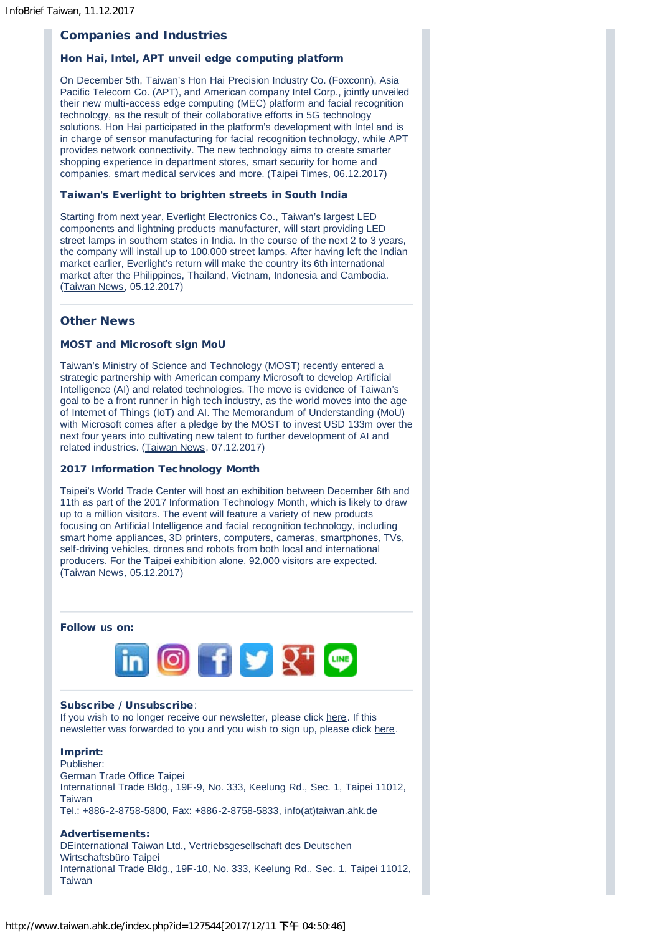# Companies and Industries

#### Hon Hai, Intel, APT unveil edge computing platform

On December 5th, Taiwan's Hon Hai Precision Industry Co. (Foxconn), Asia Pacific Telecom Co. (APT), and American company Intel Corp., jointly unveiled their new multi-access edge computing (MEC) platform and facial recognition technology, as the result of their collaborative efforts in 5G technology solutions. Hon Hai participated in the platform's development with Intel and is in charge of sensor manufacturing for facial recognition technology, while APT provides network connectivity. The new technology aims to create smarter shopping experience in department stores, smart security for home and companies, smart medical services and more. ([Taipei Times,](http://www.taipeitimes.com/News/biz/archives/2017/12/06/2003683486) 06.12.2017)

#### Taiwan's Everlight to brighten streets in South India

Starting from next year, Everlight Electronics Co., Taiwan's largest LED components and lightning products manufacturer, will start providing LED street lamps in southern states in India. In the course of the next 2 to 3 years, the company will install up to 100,000 street lamps. After having left the Indian market earlier, Everlight's return will make the country its 6th international market after the Philippines, Thailand, Vietnam, Indonesia and Cambodia. [\(Taiwan News,](https://www.taiwannews.com.tw/en/news/3311545) 05.12.2017)

# Other News

#### MOST and Microsoft sign MoU

Taiwan's Ministry of Science and Technology (MOST) recently entered a strategic partnership with American company Microsoft to develop Artificial Intelligence (AI) and related technologies. The move is evidence of Taiwan's goal to be a front runner in high tech industry, as the world moves into the age of Internet of Things (IoT) and AI. The Memorandum of Understanding (MoU) with Microsoft comes after a pledge by the MOST to invest USD 133m over the next four years into cultivating new talent to further development of AI and related industries. ([Taiwan News,](https://www.taiwannews.com.tw/en/news/3314857) 07.12.2017)

#### 2017 Information Technology Month

Taipei's World Trade Center will host an exhibition between December 6th and 11th as part of the 2017 Information Technology Month, which is likely to draw up to a million visitors. The event will feature a variety of new products focusing on Artificial Intelligence and facial recognition technology, including smart home appliances, 3D printers, computers, cameras, smartphones, TVs, self-driving vehicles, drones and robots from both local and international producers. For the Taipei exhibition alone, 92,000 visitors are expected. [\(Taiwan News,](https://www.taiwannews.com.tw/en/news/3313514) 05.12.2017)

## Follow us on:



#### Subscribe / Unsubscribe:

If you wish to no longer receive our newsletter, please click [here.](http://www.taiwan.ahk.de/newsletter-selection/newsletter-subscription-de) If this newsletter was forwarded to you and you wish to sign up, please click [here.](http://www.taiwan.ahk.de/newsletter-selection/newsletter-subscription-de)

# Imprint:

Publisher: German Trade Office Taipei International Trade Bldg., 19F-9, No. 333, Keelung Rd., Sec. 1, Taipei 11012, Taiwan Tel.: +886-2-8758-5800, Fax: +886-2-8758-5833, [info\(at\)taiwan.ahk.de](mailto:info@taiwan.ahk.de)

#### Advertisements:

DEinternational Taiwan Ltd., Vertriebsgesellschaft des Deutschen Wirtschaftsbüro Taipei International Trade Bldg., 19F-10, No. 333, Keelung Rd., Sec. 1, Taipei 11012, Taiwan